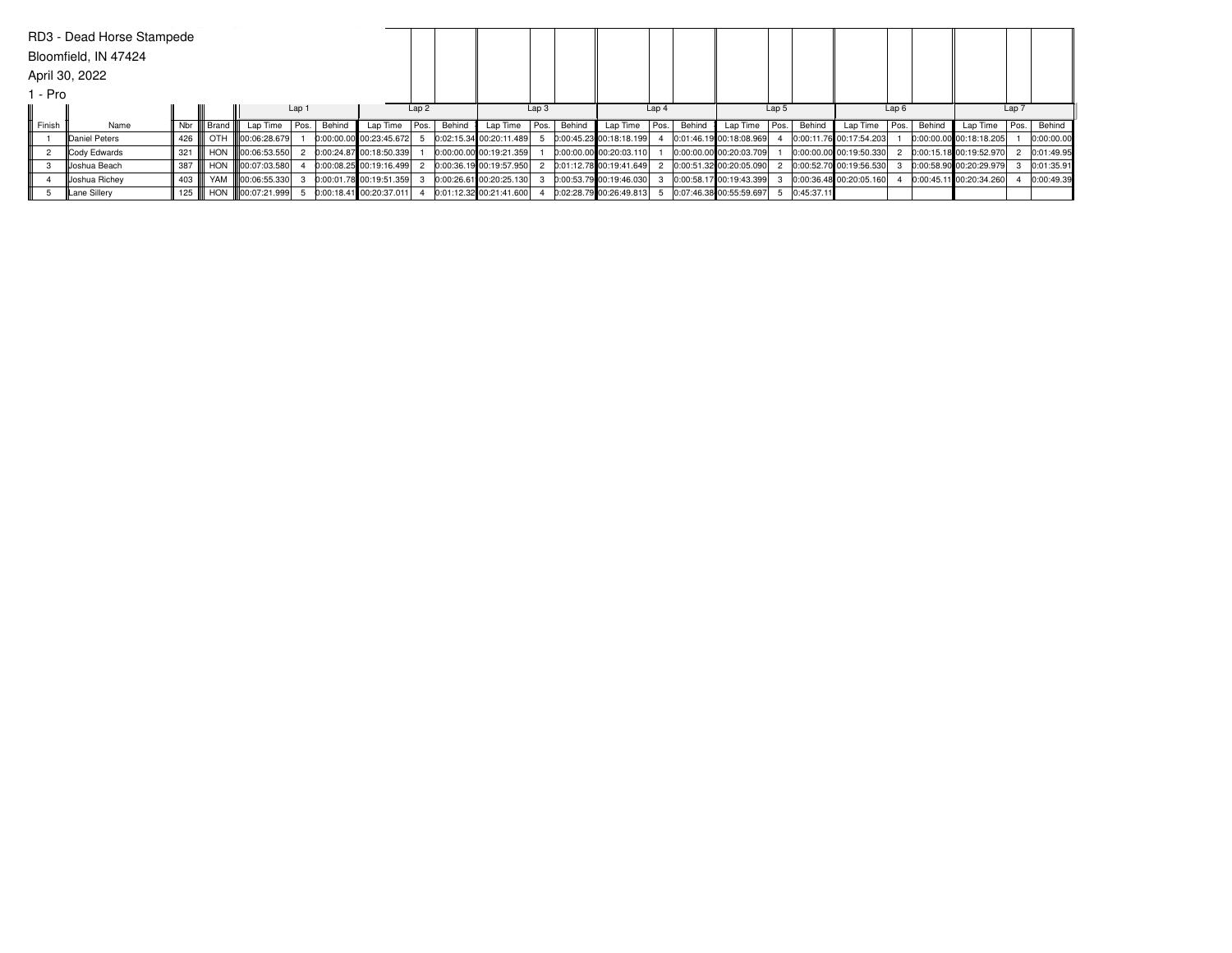|        | RD3 - Dead Horse Stampede<br>Bloomfield, IN 47424 |     |            |                             |      |        |                           |      |                  |                         |      |        |                           |                  |        |                         |                  |            |                         |                  |        |                         |       |            |
|--------|---------------------------------------------------|-----|------------|-----------------------------|------|--------|---------------------------|------|------------------|-------------------------|------|--------|---------------------------|------------------|--------|-------------------------|------------------|------------|-------------------------|------------------|--------|-------------------------|-------|------------|
|        | April 30, 2022                                    |     |            |                             |      |        |                           |      |                  |                         |      |        |                           |                  |        |                         |                  |            |                         |                  |        |                         |       |            |
| - Pro  |                                                   |     |            |                             |      |        |                           |      |                  |                         |      |        |                           |                  |        |                         |                  |            |                         |                  |        |                         |       |            |
|        | Lap <sub>1</sub>                                  |     |            |                             |      |        |                           |      | Lap <sub>2</sub> |                         | Lap3 |        |                           | Lap <sub>4</sub> |        |                         | Lap <sub>5</sub> |            |                         | Lap <sub>6</sub> |        |                         | Lap 7 |            |
| Finish | Name                                              | Nbr | Brand      | Lap Time                    | Pos. | Behind | Lap Time                  | Pos. | Behind           | Lap Time                | Pos. | Behind | Lap Time                  | Pos.             | Behind | Lap Time                | Pos.             | Behind     | Lap Time                | l Pos. l         | Behind | Lap Time                | Pos.  | Behind     |
|        | Daniel Peters                                     | 426 | OTH        | $\frac{100:06:28.679}{100}$ |      |        | $0:00:00.00$ 00:23:45.672 |      |                  | 0:02:15.34 00:20:11.489 |      |        | 0:00:45.23 00:18:18.199   |                  |        | 0:01:46.19 00:18:08.969 |                  |            | 0:00:11.76 00:17:54.203 |                  |        | 0:00:00.00 00:18:18.205 |       | 0:00:00.00 |
|        | Cody Edwards                                      | 321 | <b>HON</b> | III00:06:53.550             |      |        | 0:00:24.87 00:18:50.339   |      |                  | 0:00:00.00 00:19:21.359 |      |        | 0:00:00.00 00:20:03.110   |                  |        | 0:00:00.00 00:20:03.709 |                  |            | 0:00:00.00 00:19:50.330 |                  |        | 0:00:15.18 00:19:52.970 |       | 0:01:49.95 |
|        | Uoshua Beach                                      | 387 | <b>HON</b> | <b>III00:07:03.580</b>      |      |        | $0:00:08.25$ 00:19:16.499 |      |                  | 0:00:36.19 00:19:57.950 |      |        | 0:01:12.78 00:19:41.649   |                  |        | 0:00:51.32 00:20:05.090 |                  |            | 0:00:52.70 00:19:56.530 |                  |        | 0:00:58.90 00:20:29.979 |       | 0:01:35.91 |
|        | Joshua Richey                                     | 403 | YAM        | 100:06:55.330               |      |        | $0:00:01.78$ 00:19:51.359 |      |                  | 0:00:26.61 00:20:25.130 |      |        | 0:00:53.79 00:19:46.030   |                  |        | 0:00:58.17 00:19:43.399 |                  |            | 0:00:36.48 00:20:05.160 |                  |        | 0:00:45.11 00:20:34.260 |       | 0:00:49.39 |
|        | Lane Sillery                                      | 125 | HON        | 00:07:21.999                |      |        | 0:00:18.41 00:20:37.011   |      |                  | 0:01:12.32 00:21:41.600 |      |        | $0:02:28.79$ 00:26:49.813 |                  |        | 0:07:46.38 00:55:59.697 |                  | 0:45:37.11 |                         |                  |        |                         |       |            |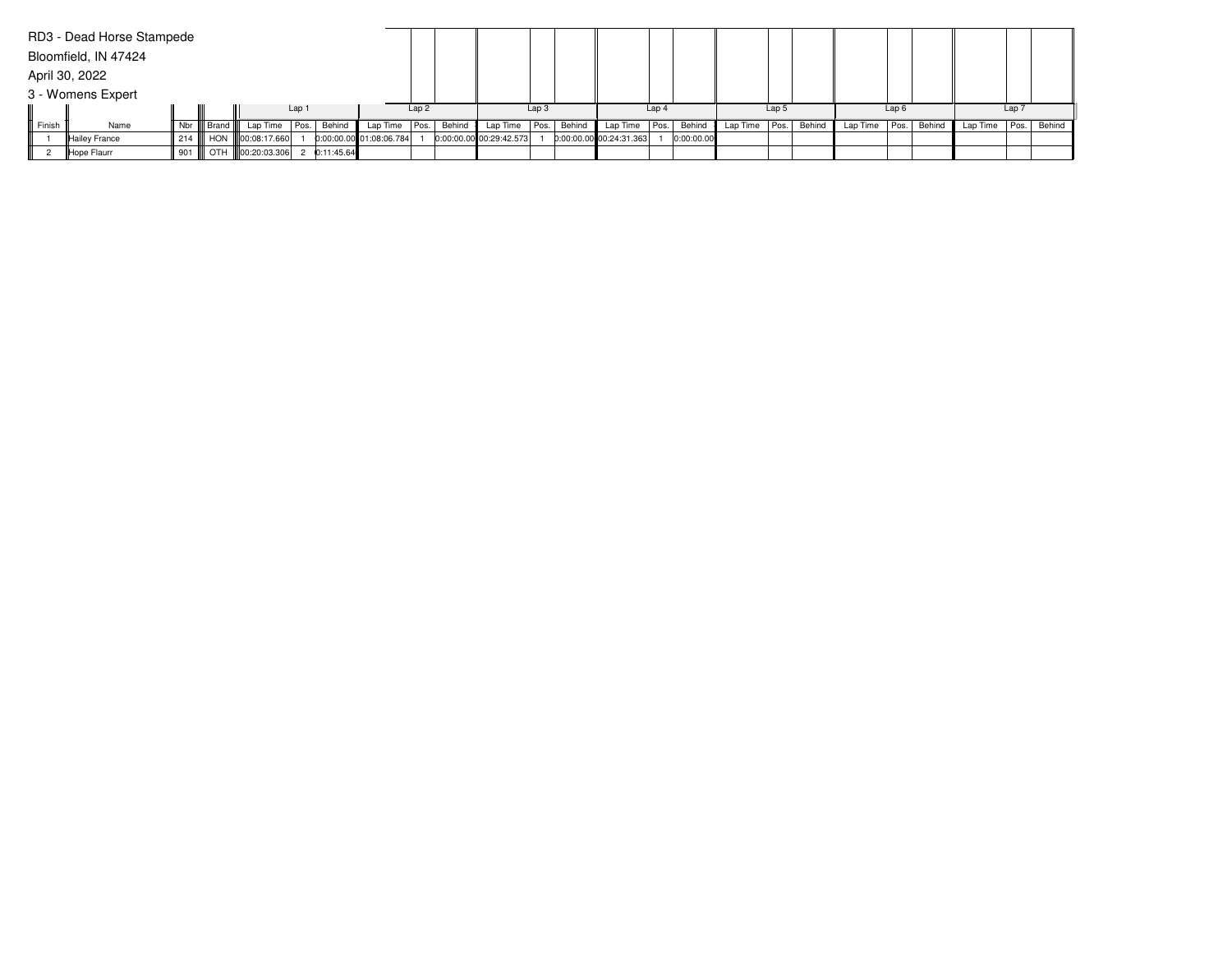|        | RD3 - Dead Horse Stampede |         |              |                   |            |                         |                  |        |                           |                  |        |                         |                  |            |               |       |        |                   |                  |        |          |                  |             |
|--------|---------------------------|---------|--------------|-------------------|------------|-------------------------|------------------|--------|---------------------------|------------------|--------|-------------------------|------------------|------------|---------------|-------|--------|-------------------|------------------|--------|----------|------------------|-------------|
|        | Bloomfield, IN 47424      |         |              |                   |            |                         |                  |        |                           |                  |        |                         |                  |            |               |       |        |                   |                  |        |          |                  |             |
|        | April 30, 2022            |         |              |                   |            |                         |                  |        |                           |                  |        |                         |                  |            |               |       |        |                   |                  |        |          |                  |             |
|        | 3 - Womens Expert         |         |              |                   |            |                         |                  |        |                           |                  |        |                         |                  |            |               |       |        |                   |                  |        |          |                  |             |
|        |                           |         |              |                   | Lap 1      |                         | Lap <sub>2</sub> |        |                           | Lap <sub>3</sub> |        |                         | Lap <sub>4</sub> |            |               | Lap 5 |        |                   | Lap <sub>6</sub> |        |          | Lap <sub>7</sub> |             |
| Finish | Name                      |         | Nbr    Brand | Lap Time Pos.     | Behind     | Lap Time   Pos.         |                  | Behind | Lap Time $ Pos. $         |                  | Behind | Lap Time Pos.           |                  | Behind     | Lap Time Pos. |       | Behind | Lap Time $ Pos. $ |                  | Behind | Lap Time |                  | Pos. Behind |
|        | Hailey France             | 214 III |              | HON 100:08:17.660 |            | 0:00:00.00 01:08:06.784 |                  |        | $0:00:00.00$ 00:29:42.573 |                  |        | 0:00:00.00 00:24:31.363 |                  | 0:00:00.00 |               |       |        |                   |                  |        |          |                  |             |
|        | Hope Flaurr               | 901 III |              | OTH 100:20:03.306 | 0:11:45.64 |                         |                  |        |                           |                  |        |                         |                  |            |               |       |        |                   |                  |        |          |                  |             |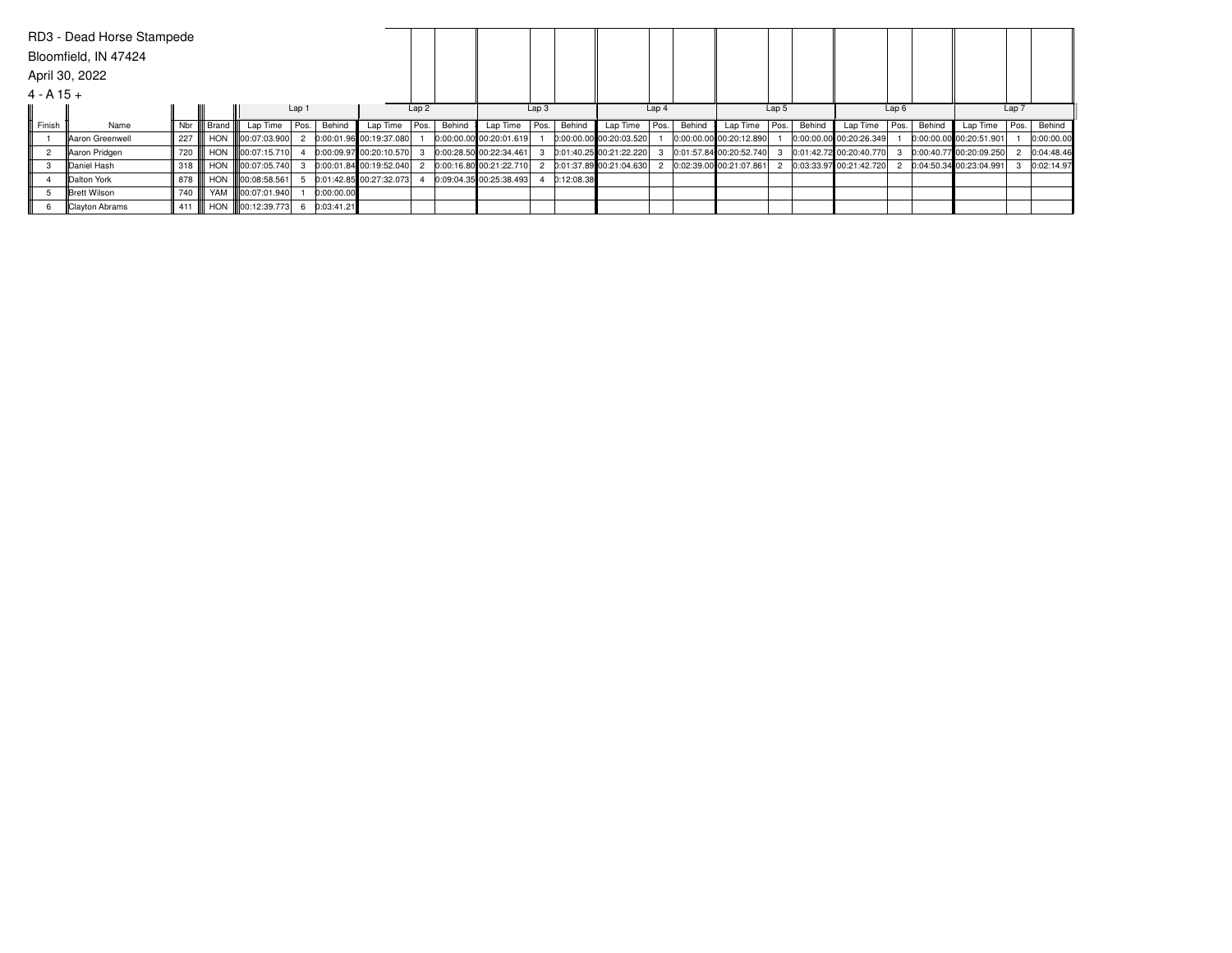|             | RD3 - Dead Horse Stampede |     |            |                         |                  |            |                           |      |        |                         |                  |            |                           |                  |        |                         |       |        |                         |                  |        |                         |       |            |
|-------------|---------------------------|-----|------------|-------------------------|------------------|------------|---------------------------|------|--------|-------------------------|------------------|------------|---------------------------|------------------|--------|-------------------------|-------|--------|-------------------------|------------------|--------|-------------------------|-------|------------|
|             | Bloomfield, IN 47424      |     |            |                         |                  |            |                           |      |        |                         |                  |            |                           |                  |        |                         |       |        |                         |                  |        |                         |       |            |
|             | April 30, 2022            |     |            |                         |                  |            |                           |      |        |                         |                  |            |                           |                  |        |                         |       |        |                         |                  |        |                         |       |            |
| $4 - A15 +$ |                           |     |            |                         |                  |            |                           |      |        |                         |                  |            |                           |                  |        |                         |       |        |                         |                  |        |                         |       |            |
|             |                           |     |            |                         | Lap <sub>1</sub> |            |                           | Lap2 |        |                         | Lap <sub>3</sub> |            |                           | Lap <sub>4</sub> |        |                         | Lap 5 |        |                         | Lap <sub>6</sub> |        |                         | Lap 7 |            |
| Finish      | Name                      | Nbr | Brand III  | Lap Time   Pos.         |                  | Behind     | Lap Time   Pos.           |      | Behind | Lap Time                | Pos.             | Behind     | Lap Time                  | Pos.             | Behind | Lap Time                | Pos.  | Behind | Lap Time                | Pos.             | Behind | Lap Time   Pos.         |       | Behind     |
|             | <b>Aaron Greenwell</b>    | 227 | <b>HON</b> | 100:07:03.900           |                  |            | 0:00:01.96 00:19:37.080   |      |        | 0:00:00.00 00:20:01.619 |                  |            | 0:00:00.00 00:20:03.520   |                  |        | 0:00:00.00 00:20:12.890 |       |        | 0:00:00.00 00:20:26.349 |                  |        | 0:00:00.00 00:20:51.901 |       | 0:00:00.00 |
| 2           | Aaron Pridgen             | 720 | <b>HON</b> | <b>III</b> 00:07:15.710 |                  |            | $0:00:09.97$ 00:20:10.570 |      |        | 0:00:28.50 00:22:34.461 |                  |            | $0:01:40.25$ 00:21:22.220 |                  |        | 0:01:57.84 00:20:52.740 |       |        | 0:01:42.72 00:20:40.770 |                  |        | 0:00:40.77 00:20:09.250 |       | 0:04:48.46 |
|             | Daniel Hash               | 318 | <b>HON</b> | III00:07:05.740         |                  |            | 0:00:01.84 00:19:52.040   |      |        | 0:00:16.80 00:21:22.710 |                  |            | 0:01:37.89 00:21:04.630   |                  |        | 0:02:39.00 00:21:07.861 |       |        | 0:03:33.97 00:21:42.720 |                  |        | 0:04:50.34 00:23:04.991 |       | 0:02:14.97 |
|             | <b>IDalton York</b>       | 878 | HON        | <b>III00:08:58.561</b>  |                  |            | 0:01:42.85 00:27:32.073   |      |        | 0:09:04.35 00:25:38.493 |                  | 0:12:08.38 |                           |                  |        |                         |       |        |                         |                  |        |                         |       |            |
|             | Brett Wilson              | 740 | YAM        | <b>III00:07:01.940</b>  |                  | 0:00:00.00 |                           |      |        |                         |                  |            |                           |                  |        |                         |       |        |                         |                  |        |                         |       |            |
|             | Clayton Abrams            | 411 | <b>HON</b> | 00:12:39.773            |                  | 0:03:41.21 |                           |      |        |                         |                  |            |                           |                  |        |                         |       |        |                         |                  |        |                         |       |            |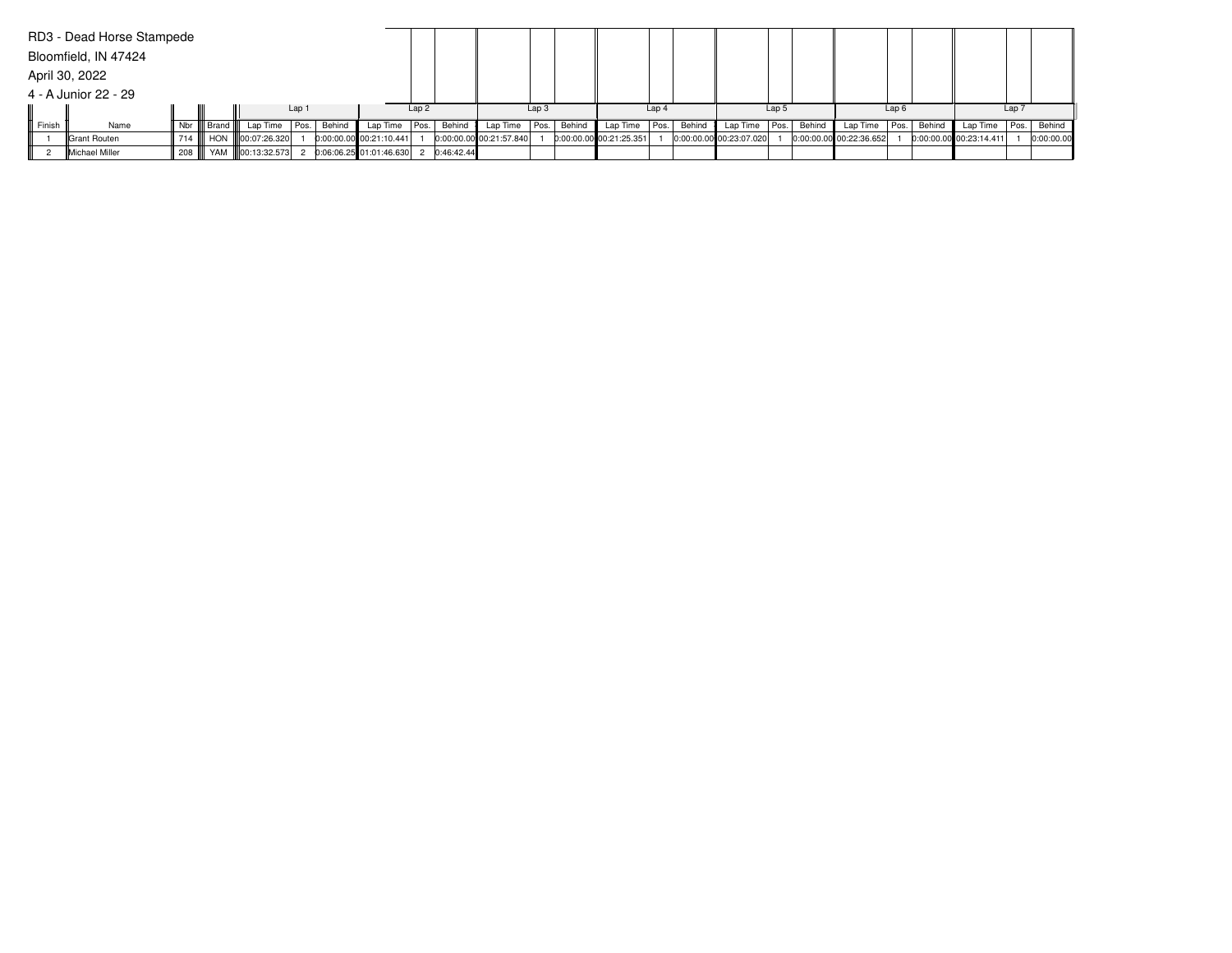|        | RD3 - Dead Horse Stampede |     |                     |                        |       |                                      |      |        |                           |                  |        |                           |                  |        |                         |       |        |                           |                  |        |                           |       |            |
|--------|---------------------------|-----|---------------------|------------------------|-------|--------------------------------------|------|--------|---------------------------|------------------|--------|---------------------------|------------------|--------|-------------------------|-------|--------|---------------------------|------------------|--------|---------------------------|-------|------------|
|        | Bloomfield, IN 47424      |     |                     |                        |       |                                      |      |        |                           |                  |        |                           |                  |        |                         |       |        |                           |                  |        |                           |       |            |
|        | April 30, 2022            |     |                     |                        |       |                                      |      |        |                           |                  |        |                           |                  |        |                         |       |        |                           |                  |        |                           |       |            |
|        | 4 - A Junior 22 - 29      |     |                     |                        |       |                                      |      |        |                           |                  |        |                           |                  |        |                         |       |        |                           |                  |        |                           |       |            |
|        |                           |     |                     |                        | Lap 1 |                                      | Lap2 |        |                           | Lap <sub>3</sub> |        |                           | Lap <sub>4</sub> |        |                         | Lap 5 |        |                           | Lap <sub>6</sub> |        |                           | Lap 7 |            |
| Finish | Name                      | Nbr | ll Brand <b>III</b> | Lap Time   Pos. Behind |       | Lap Time $ Pos. $                    |      | Behind | Lap Time $ Pos. $         |                  | Behind | Lap Time                  | Pos.             | Behind | Lap Time   Pos.         |       | Behind | Lap Time                  | Pos.             | Behind | Lap Time                  | Pos.  | Behind     |
|        | Grant Routen              | 714 |                     | HON   00:07:26.320     |       | $0:00:00.00$ 00:21:10.441            |      |        | $0:00:00.00$ 00:21:57.840 |                  |        | $0:00:00.00$ 00:21:25.351 |                  |        | 0:00:00.00 00:23:07.020 |       |        | $0:00:00.00$ 00:22:36.652 |                  |        | $0:00:00.00$ 00:23:14.411 |       | 0:00:00.00 |
|        | Michael Miller            | 208 |                     | YAM 100:13:32.573      |       | 0:06:06.25 01:01:46.630 2 0:46:42.44 |      |        |                           |                  |        |                           |                  |        |                         |       |        |                           |                  |        |                           |       |            |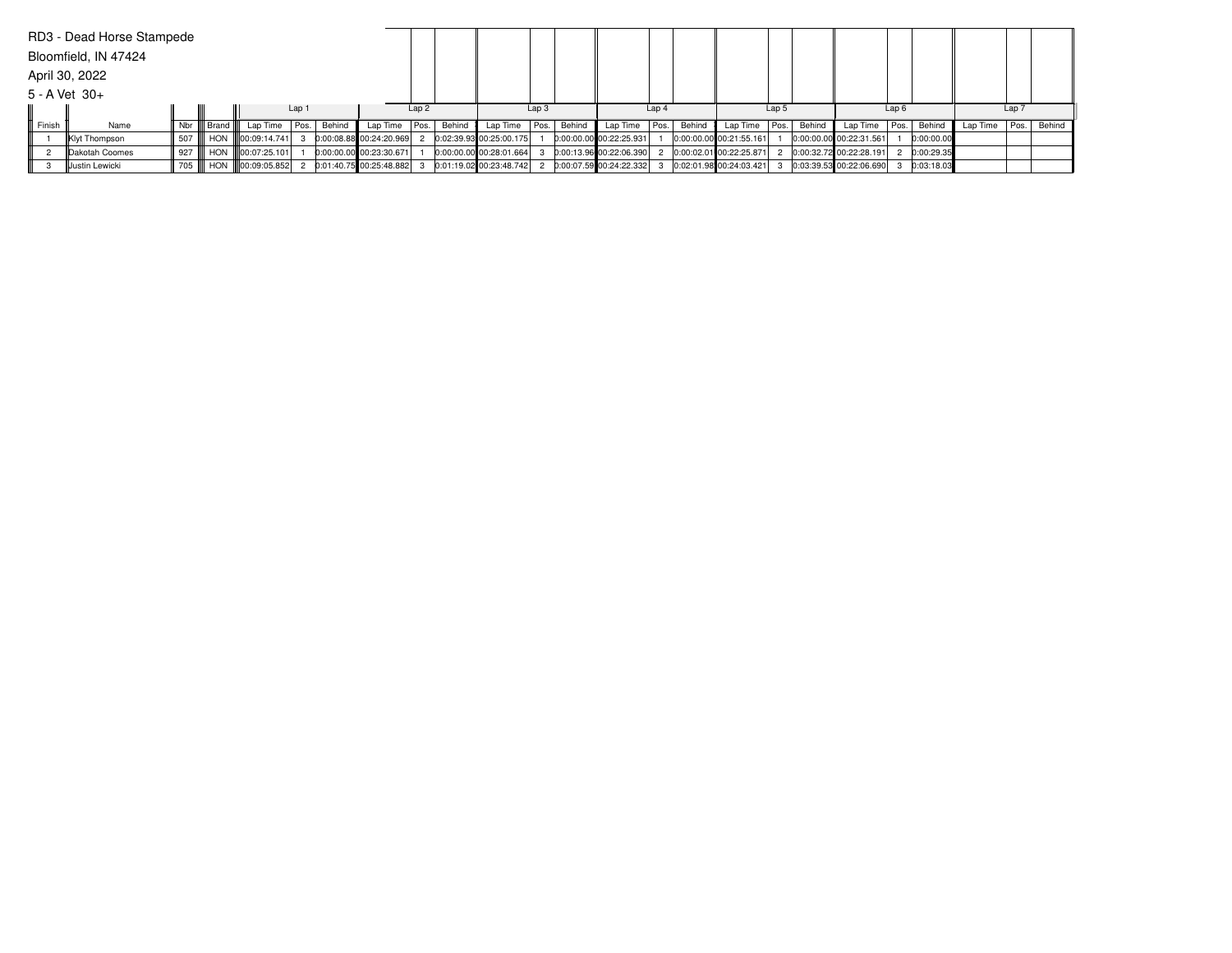|                   | RD3 - Dead Horse Stampede |         |              |                   |       |        |                         |      |        |                           |                  |        |                           |                  |        |                           |       |        |                             |                  |            |          |                  |        |
|-------------------|---------------------------|---------|--------------|-------------------|-------|--------|-------------------------|------|--------|---------------------------|------------------|--------|---------------------------|------------------|--------|---------------------------|-------|--------|-----------------------------|------------------|------------|----------|------------------|--------|
|                   | Bloomfield, IN 47424      |         |              |                   |       |        |                         |      |        |                           |                  |        |                           |                  |        |                           |       |        |                             |                  |            |          |                  |        |
|                   | April 30, 2022            |         |              |                   |       |        |                         |      |        |                           |                  |        |                           |                  |        |                           |       |        |                             |                  |            |          |                  |        |
| $5 - A$ Vet $30+$ |                           |         |              |                   |       |        |                         |      |        |                           |                  |        |                           |                  |        |                           |       |        |                             |                  |            |          |                  |        |
|                   |                           |         |              |                   | Lap 1 |        |                         | Lap2 |        |                           | Lap <sub>3</sub> |        |                           | Lap <sub>4</sub> |        |                           | Lap 5 |        |                             | Lap <sub>6</sub> |            |          | Lap <sub>7</sub> |        |
| Finish            | Name                      |         | Nbr    Brand | Lap Time          | Pos.  | Behind | Lap Time                | Pos. | Behind | Lap Time                  | Pos.             | Behind | Lap Time                  | Pos.             | Behind | Lap Time   Pos.           |       | Behind | Lap Time   Pos.             |                  | Behind     | Lap Time | Pos.             | Behind |
|                   | Klyt Thompson             | 507 III |              | HON 100:09:14.741 |       |        | 0:00:08.88 00:24:20.969 |      |        | $0:02:39.93$ 00:25:00.175 |                  |        | $0:00:00.00$ 00:22:25.931 |                  |        | 0:00:00.00 00:21:55.161   |       |        | 0:00:00.00 00:22:31.561     |                  | 0:00:00.00 |          |                  |        |
|                   | Dakotah Coomes            | 927     |              | HON 100:07:25.101 |       |        | 0:00:00.00 00:23:30.671 |      |        | 0:00:00.00 00:28:01.664   |                  |        | $0:00:13.96$ 00:22:06.390 |                  |        | 0:00:02.01 00:22:25.871   |       |        | 0:00:32.72 00:22:28.191     |                  | 0:00:29.35 |          |                  |        |
|                   | Justin Lewicki            | 705 III |              | HON 100:09:05.852 |       |        | 0:01:40.75 00:25:48.882 |      |        | 0:01:19.02 00:23:48.742   |                  |        | $0:00:07.59$ 00:24:22.332 |                  |        | $0:02:01.98$ 00:24:03.421 |       |        | $0:03:39.53$ $00:22:06.690$ |                  | 0:03:18.03 |          |                  |        |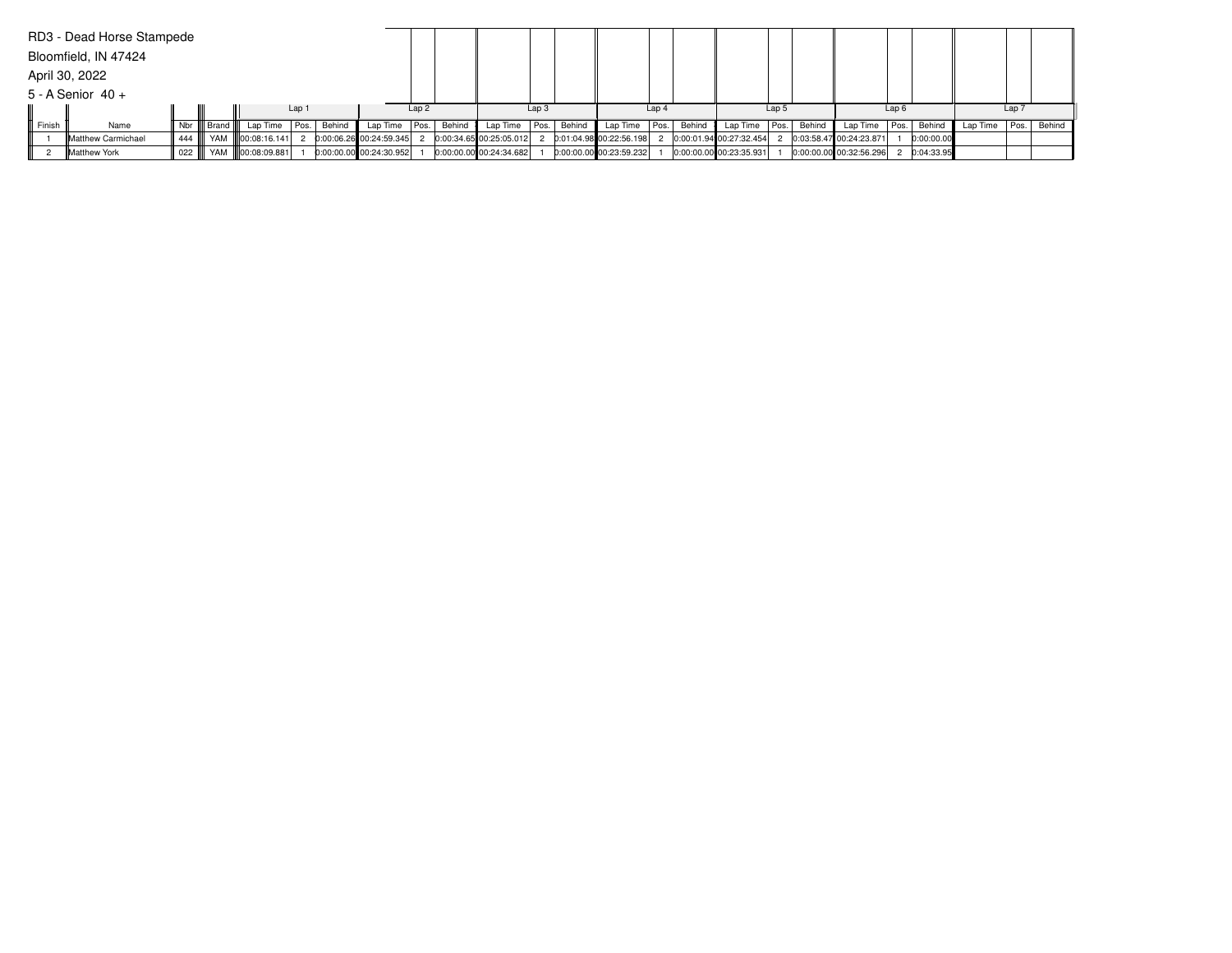|        | RD3 - Dead Horse Stampede  |         |              |                               |        |                           |      |        |                           |                  |        |                           |                  |        |                           |                  |        |                           |                  |            |          |                  |        |
|--------|----------------------------|---------|--------------|-------------------------------|--------|---------------------------|------|--------|---------------------------|------------------|--------|---------------------------|------------------|--------|---------------------------|------------------|--------|---------------------------|------------------|------------|----------|------------------|--------|
|        | Bloomfield, IN 47424       |         |              |                               |        |                           |      |        |                           |                  |        |                           |                  |        |                           |                  |        |                           |                  |            |          |                  |        |
|        | April 30, 2022             |         |              |                               |        |                           |      |        |                           |                  |        |                           |                  |        |                           |                  |        |                           |                  |            |          |                  |        |
|        | $5 - A$ Senior $40 +$      |         |              |                               |        |                           |      |        |                           |                  |        |                           |                  |        |                           |                  |        |                           |                  |            |          |                  |        |
|        |                            |         |              |                               | Lap 1  |                           | Lap2 |        |                           | Lap <sub>3</sub> |        |                           | Lap <sub>4</sub> |        |                           | Lap <sub>5</sub> |        |                           | Lap <sub>6</sub> |            |          | Lap <sub>7</sub> |        |
| Finish | Name                       |         | Nbr    Brand | Lap Time   Pos.               | Behind | Lap Time                  | Pos. | Behind | Lap Time                  | Pos.             | Behind | Lap Time                  | Pos.             | Behind | Lap Time                  | Pos.             | Behind | Lap Time   Pos.           |                  | Behind     | Lap Time | l Pos. l         | Behind |
|        | <b>IMatthew Carmichael</b> | 444 III |              | YAM 800:08:16.141             |        | $0:00:06.26$ 00:24:59.345 |      |        | $0:00:34.65$ 00:25:05.012 |                  |        | 0:01:04.98 00:22:56.198   |                  |        | 0:00:01.94 00:27:32.454   |                  |        | 0:03:58.47 00:24:23.871   |                  | 0:00:00.00 |          |                  |        |
|        | Matthew York               |         |              | 022      YAM     00:08:09.881 |        | 0:00:00.00 00:24:30.952   |      |        | 0:00:00.00 00:24:34.682   |                  |        | $0:00:00.00$ 00:23:59.232 |                  |        | $0:00:00.00$ 00:23:35.931 |                  |        | $0:00:00.00$ 00:32:56.296 |                  | 0:04:33.95 |          |                  |        |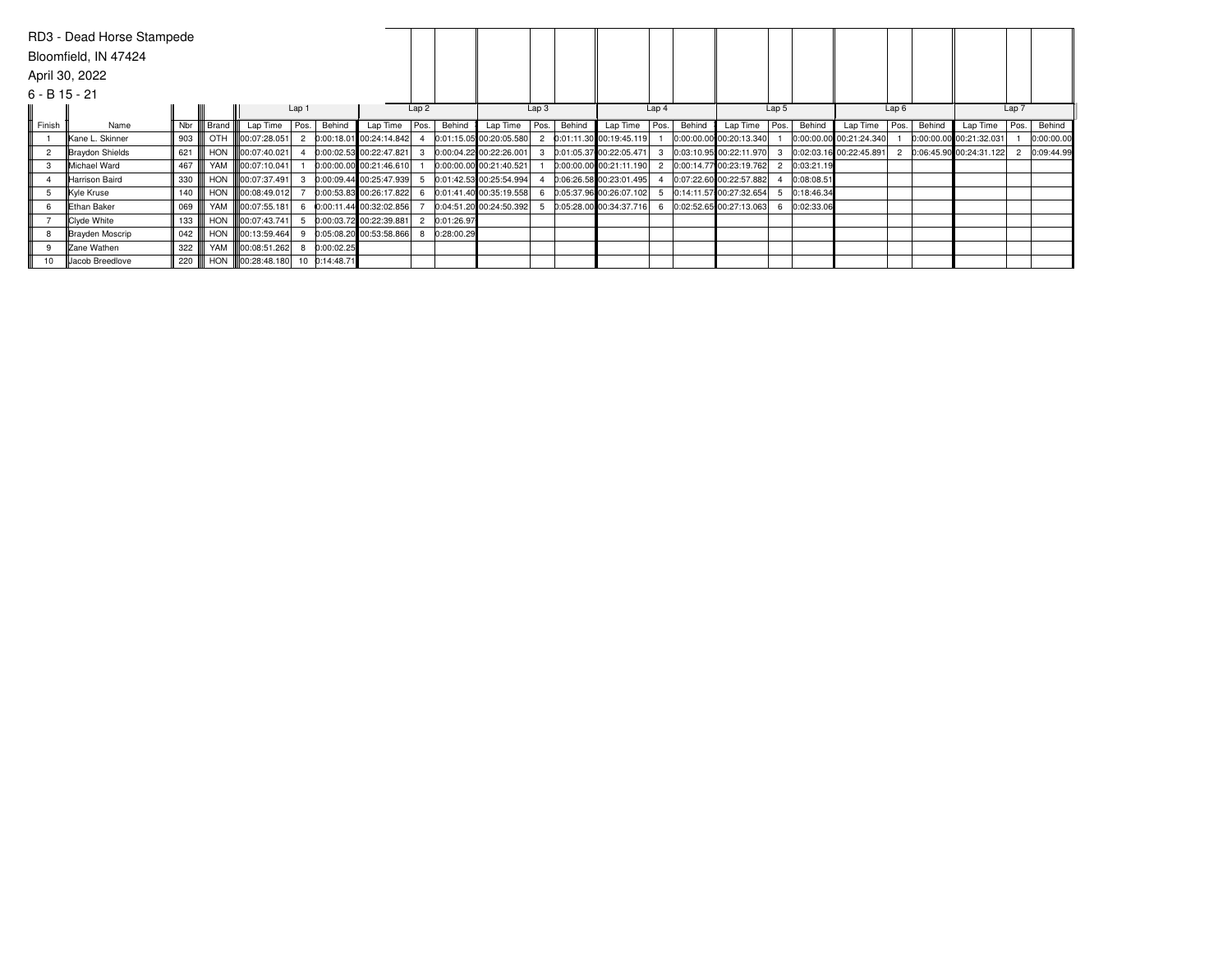|                 | RD3 - Dead Horse Stampede |     |            |               |       |               |                         |      |            |                         |                  |        |                           |                  |        |                           |       |            |                         |      |        |                           |       |            |
|-----------------|---------------------------|-----|------------|---------------|-------|---------------|-------------------------|------|------------|-------------------------|------------------|--------|---------------------------|------------------|--------|---------------------------|-------|------------|-------------------------|------|--------|---------------------------|-------|------------|
|                 | Bloomfield, IN 47424      |     |            |               |       |               |                         |      |            |                         |                  |        |                           |                  |        |                           |       |            |                         |      |        |                           |       |            |
|                 | April 30, 2022            |     |            |               |       |               |                         |      |            |                         |                  |        |                           |                  |        |                           |       |            |                         |      |        |                           |       |            |
| $6 - B$ 15 - 21 |                           |     |            |               |       |               |                         |      |            |                         |                  |        |                           |                  |        |                           |       |            |                         |      |        |                           |       |            |
|                 |                           |     |            |               | Lap 1 |               |                         | Lap2 |            |                         | Lap <sub>3</sub> |        |                           | Lap <sub>4</sub> |        |                           | Lap 5 |            |                         | Lap6 |        |                           | Lap 7 |            |
| Finish          | Name                      | Nbr | Brand      | Lap Time Pos. |       | Behind        | Lap Time                | Pos. | Behind     | Lap Time                | Pos.             | Behind | Lap Time                  | Pos.             | Behind | Lap Time   Pos.           |       | Behind     | Lap Time                | Pos. | Behind | Lap Time                  | Pos.  | Behind     |
|                 | Kane L. Skinner           | 903 | OTH        | 00:07:28.051  |       |               | 0:00:18.01 00:24:14.842 |      |            | 0:01:15.05 00:20:05.580 |                  |        | 0:01:11.30 00:19:45.119   |                  |        | 0:00:00.00 00:20:13.340   |       |            | 0:00:00.00 00:21:24.340 |      |        | 0:00:00.00 00:21:32.031   |       | 0:00:00.00 |
|                 | Braydon Shields           | 621 | <b>HON</b> | 00:07:40.021  |       |               | 0:00:02.53 00:22:47.821 |      |            | 0:00:04.22 00:22:26.001 |                  |        | $0:01:05.37$ 00:22:05.471 |                  |        | 0:03:10.95 00:22:11.970   |       |            | 0:02:03.16 00:22:45.891 |      |        | $0:06:45.90$ 00:24:31.122 |       | 0:09:44.99 |
|                 | Michael Ward              | 467 | YAM        | 00:07:10.041  |       |               | 0:00:00.00 00:21:46.610 |      |            | 0:00:00.00 00:21:40.521 |                  |        | $0:00:00.00$ 00:21:11.190 |                  |        | 0:00:14.77 00:23:19.762   |       | 0:03:21.19 |                         |      |        |                           |       |            |
|                 | Harrison Baird            | 330 | <b>HON</b> | 00:07:37.491  |       |               | 0:00:09.44 00:25:47.939 |      |            | 0:01:42.53 00:25:54.994 |                  |        | $0:06:26.58$ 00:23:01.495 |                  |        | 0:07:22.60 00:22:57.882   |       | 0:08:08.51 |                         |      |        |                           |       |            |
| .5              | Kyle Kruse                | 140 | <b>HON</b> | 00:08:49.012  |       |               | 0:00:53.83 00:26:17.822 |      |            | 0:01:41.40 00:35:19.558 |                  |        | 0:05:37.96 00:26:07.102   |                  |        | 0:14:11.57 00:27:32.654   |       | 0:18:46.34 |                         |      |        |                           |       |            |
| 6               | <b>Ethan Baker</b>        | 069 | YAM        | 00:07:55.181  |       |               | 0:00:11.44 00:32:02.856 |      |            | 0:04:51.20 00:24:50.392 |                  |        | $0:05:28.00$ 00:34:37.716 | 6                |        | $0:02:52.65$ 00:27:13.063 |       | 0:02:33.06 |                         |      |        |                           |       |            |
|                 | Clyde White               | 133 | <b>HON</b> | 00:07:43.741  |       |               | 0:00:03.72 00:22:39.881 |      | 0:01:26.97 |                         |                  |        |                           |                  |        |                           |       |            |                         |      |        |                           |       |            |
|                 | Brayden Moscrip           | 042 | <b>HON</b> | 00:13:59.464  |       |               | 0:05:08.20 00:53:58.866 |      | 0:28:00.29 |                         |                  |        |                           |                  |        |                           |       |            |                         |      |        |                           |       |            |
| 9               | Zane Wathen               | 322 | YAM        | 00:08:51.262  |       | 0:00:02.25    |                         |      |            |                         |                  |        |                           |                  |        |                           |       |            |                         |      |        |                           |       |            |
| 10              | Jacob Breedlove           | 220 | <b>HON</b> | 00:28:48.180  |       | 10 0:14:48.71 |                         |      |            |                         |                  |        |                           |                  |        |                           |       |            |                         |      |        |                           |       |            |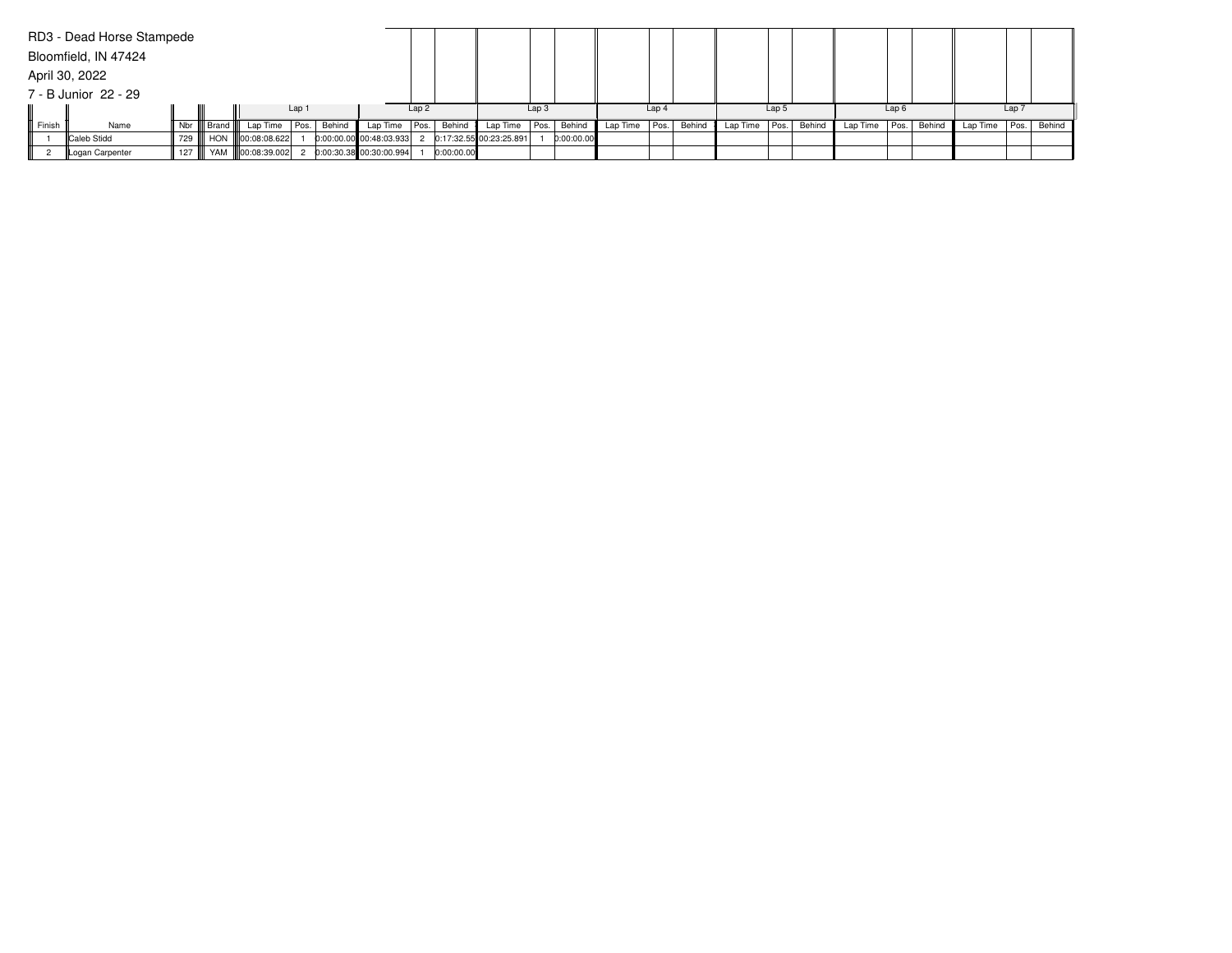|        | RD3 - Dead Horse Stampede<br>Bloomfield, IN 47424 |         |              |                           |        |                           |      |            |                           |                  |            |          |                  |        |          |                  |        |                   |                  |        |          |                  |        |
|--------|---------------------------------------------------|---------|--------------|---------------------------|--------|---------------------------|------|------------|---------------------------|------------------|------------|----------|------------------|--------|----------|------------------|--------|-------------------|------------------|--------|----------|------------------|--------|
|        | April 30, 2022                                    |         |              |                           |        |                           |      |            |                           |                  |            |          |                  |        |          |                  |        |                   |                  |        |          |                  |        |
|        | 7 - B Junior 22 - 29                              |         |              |                           |        |                           |      |            |                           |                  |            |          |                  |        |          |                  |        |                   |                  |        |          |                  |        |
|        |                                                   |         |              |                           | Lap 1  |                           | Lap2 |            |                           | Lap <sub>3</sub> |            |          | Lap <sub>4</sub> |        |          | Lap <sub>5</sub> |        |                   | Lap <sub>6</sub> |        |          | Lap <sub>7</sub> |        |
| Finish | Name                                              |         | Nbr    Brand | Lap Time Pos.             | Behind | Lap Time $ Pos. $         |      | Behind     | Lap Time                  | Pos.             | Behind     | Lap Time | Pos.             | Behind | Lap Time | Pos.             | Behind | Lap Time $ Pos. $ |                  | Behind | Lap Time | l Pos. l         | Behind |
|        | Caleb Stidd                                       | 729 III |              | HON 100:08:08.622         |        | $0:00:00.00$ 00:48:03.933 |      |            | $0:17:32.55$ 00:23:25.891 |                  | 0:00:00.00 |          |                  |        |          |                  |        |                   |                  |        |          |                  |        |
|        | Logan Carpenter                                   |         |              | 127    YAM   00:08:39.002 |        | 0:00:30.38 00:30:00.994   |      | 0:00:00.00 |                           |                  |            |          |                  |        |          |                  |        |                   |                  |        |          |                  |        |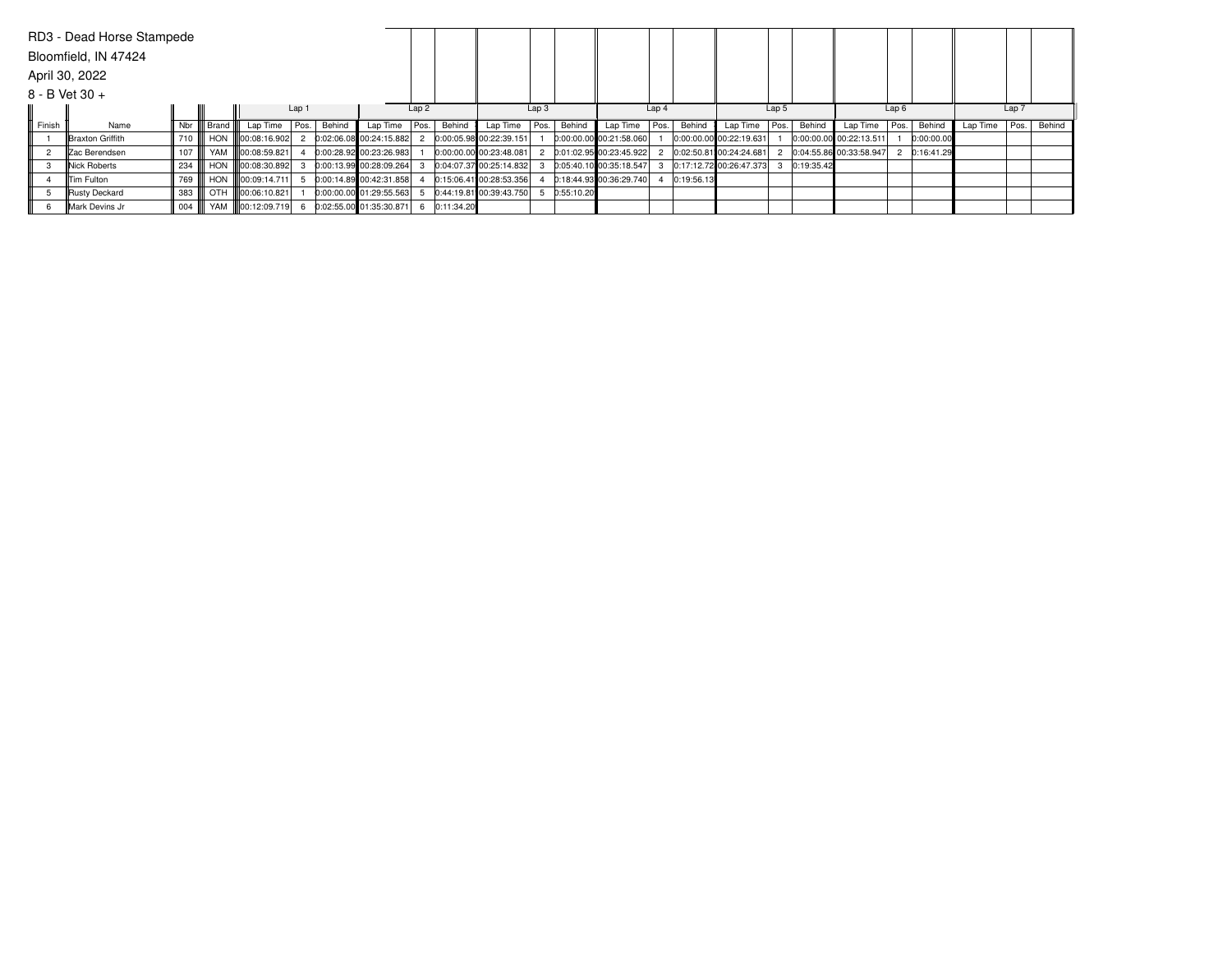|                  | RD3 - Dead Horse Stampede |                   |                     |                             |       |        |                           |      |              |                         |                  |            |                           |                  |            |                           |                  |            |                           |                  |            |          |          |        |
|------------------|---------------------------|-------------------|---------------------|-----------------------------|-------|--------|---------------------------|------|--------------|-------------------------|------------------|------------|---------------------------|------------------|------------|---------------------------|------------------|------------|---------------------------|------------------|------------|----------|----------|--------|
|                  | Bloomfield, IN 47424      |                   |                     |                             |       |        |                           |      |              |                         |                  |            |                           |                  |            |                           |                  |            |                           |                  |            |          |          |        |
|                  | April 30, 2022            |                   |                     |                             |       |        |                           |      |              |                         |                  |            |                           |                  |            |                           |                  |            |                           |                  |            |          |          |        |
| $8 - B$ Vet 30 + |                           |                   |                     |                             |       |        |                           |      |              |                         |                  |            |                           |                  |            |                           |                  |            |                           |                  |            |          |          |        |
|                  |                           |                   |                     |                             | Lap 1 |        |                           | Lap2 |              |                         | Lap <sub>3</sub> |            |                           | Lap <sub>4</sub> |            |                           | Lap <sub>5</sub> |            |                           | Lap <sub>6</sub> |            |          | Lap 7    |        |
| Finish           | Name                      | Nbr               | ll Brand <b>III</b> | Lap Time Pos.               |       | Behind | Lap Time                  | Pos. | Behind       | Lap Time                | Pos.             | Behind     | Lap Time                  | Pos.             | Behind     | Lap Time                  | Pos.             | Behind     | Lap Time   Pos.           |                  | Behind     | Lap Time | l Pos. l | Behind |
|                  | Braxton Griffith          | 710 III           | HON                 | 00:08:16.902                |       |        | 0:02:06.08 00:24:15.882   |      |              | 0:00:05.98 00:22:39.151 |                  |            | $0:00:00.00$ 00:21:58.060 |                  |            | $0:00:00.00$ 00:22:19.631 |                  |            | $0:00:00.00$ 00:22:13.511 |                  | 0:00:00.00 |          |          |        |
|                  | <b>IZac Berendsen</b>     | 107               |                     | YAM 100:08:59.821           |       |        | $0:00:28.92$ 00:23:26.983 |      |              | 0:00:00.00 00:23:48.081 |                  |            | 0:01:02.95 00:23:45.922   |                  |            | $0:02:50.81$ 00:24:24.681 |                  |            | 0:04:55.86 00:33:58.947   |                  | 0:16:41.29 |          |          |        |
|                  | Nick Roberts              | 234               |                     | HON <b>II</b> 00:08:30.892  |       |        | 0:00:13.99 00:28:09.264   |      |              | 0:04:07.37 00:25:14.832 |                  |            | 0:05:40.10 00:35:18.547   |                  |            | 0:17:12.72 00:26:47.373   |                  | 0:19:35.42 |                           |                  |            |          |          |        |
|                  | Tim Fulton                | 769               |                     | HON <b>100:09:14.711</b>    |       |        | 0:00:14.89 00:42:31.858   |      |              | 0:15:06.41 00:28:53.356 |                  |            | 0:18:44.93 00:36:29.740   |                  | 0:19:56.13 |                           |                  |            |                           |                  |            |          |          |        |
|                  | Rusty Deckard             | 383               |                     | OTH <b>III</b> 00:06:10.821 |       |        | $0:00:00.00$ 01:29:55.563 |      |              | 0:44:19.81 00:39:43.750 |                  | 0:55:10.20 |                           |                  |            |                           |                  |            |                           |                  |            |          |          |        |
|                  | Mark Devins Jr            | $004$ $\parallel$ |                     | YAM 800:12:09.719           |       |        | 0:02:55.00 01:35:30.871   |      | 6 0:11:34.20 |                         |                  |            |                           |                  |            |                           |                  |            |                           |                  |            |          |          |        |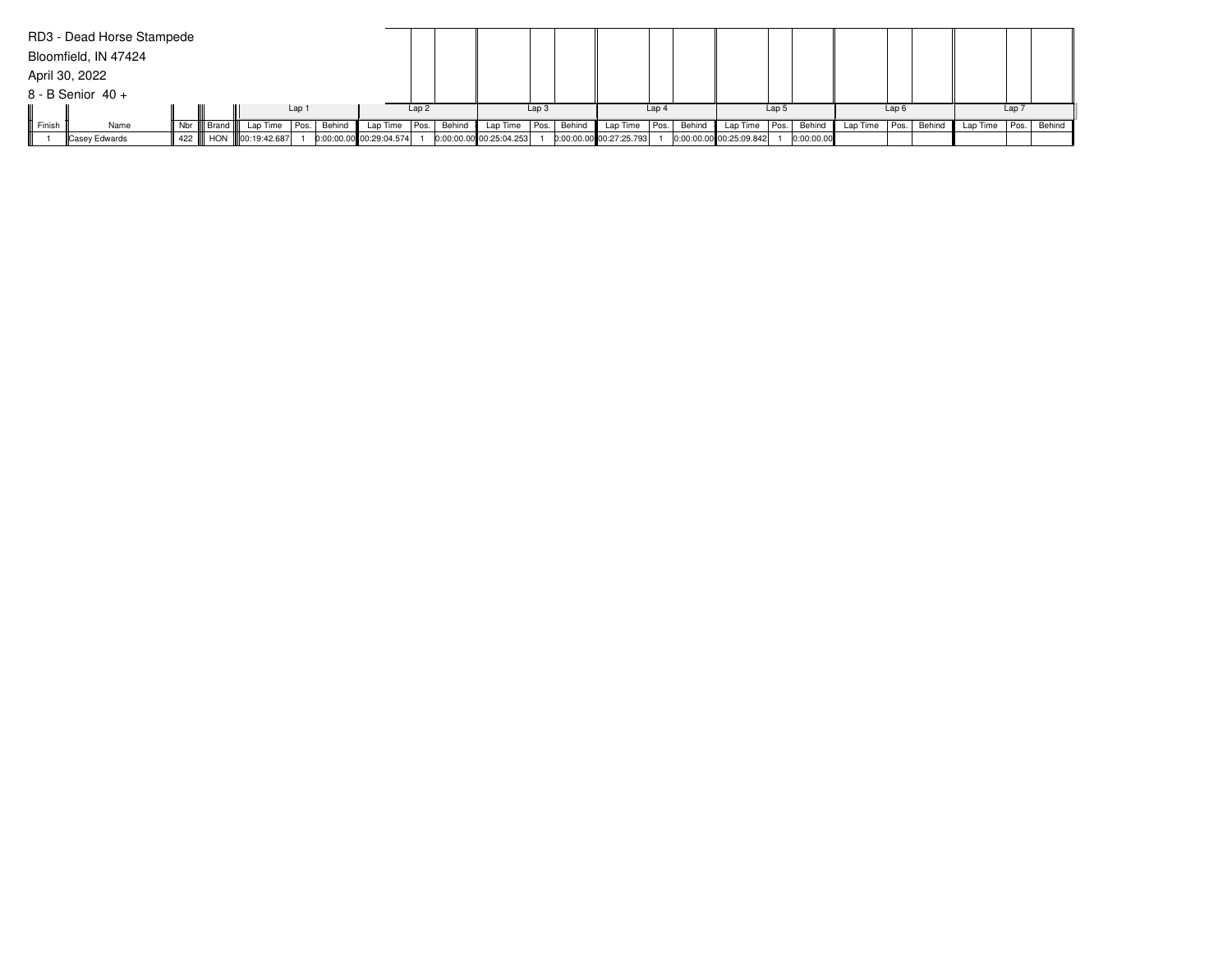|        | RD3 - Dead Horse Stampede |              |                           |       |        |                         |      |        |                           |                  |        |                           |                  |        |                           |                  |            |                 |                  |        |          |                  |             |
|--------|---------------------------|--------------|---------------------------|-------|--------|-------------------------|------|--------|---------------------------|------------------|--------|---------------------------|------------------|--------|---------------------------|------------------|------------|-----------------|------------------|--------|----------|------------------|-------------|
|        | Bloomfield, IN 47424      |              |                           |       |        |                         |      |        |                           |                  |        |                           |                  |        |                           |                  |            |                 |                  |        |          |                  |             |
|        | April 30, 2022            |              |                           |       |        |                         |      |        |                           |                  |        |                           |                  |        |                           |                  |            |                 |                  |        |          |                  |             |
|        | $8 - B$ Senior $40 +$     |              |                           |       |        |                         |      |        |                           |                  |        |                           |                  |        |                           |                  |            |                 |                  |        |          |                  |             |
|        |                           |              |                           | Lap 1 |        |                         | Lap2 |        |                           | Lap <sub>3</sub> |        |                           | Lap <sub>4</sub> |        |                           | Lap <sub>5</sub> |            |                 | Lap <sub>6</sub> |        |          | Lap <sub>7</sub> |             |
| Finish | Name                      | Nbr    Brand | Lap Time                  | Pos.  | Behind | Lap Time   Pos.         |      | Behind | Lap Time                  | Pos.             | Behind | Lap Time                  | Pos.             | Behind | Lap Time                  | Pos.             | Behind     | Lap Time   Pos. |                  | Behind | Lap Time |                  | Pos. Behind |
|        | Casey Edwards             |              | 422    HON   00:19:42.687 |       |        | 0:00:00.00 00:29:04.574 |      |        | $0:00:00.00$ 00:25:04.253 |                  |        | $0:00:00.00$ 00:27:25.793 |                  |        | $0:00:00.00$ 00:25:09.842 |                  | 0:00:00.00 |                 |                  |        |          |                  |             |